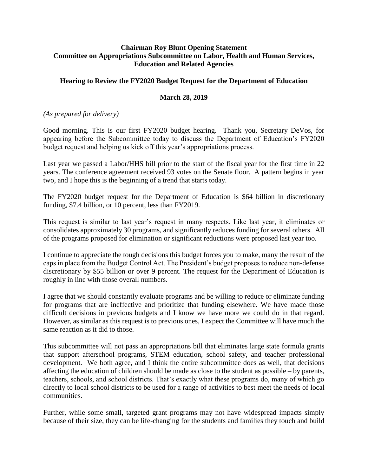## **Chairman Roy Blunt Opening Statement Committee on Appropriations Subcommittee on Labor, Health and Human Services, Education and Related Agencies**

## **Hearing to Review the FY2020 Budget Request for the Department of Education**

## **March 28, 2019**

## *(As prepared for delivery)*

Good morning. This is our first FY2020 budget hearing. Thank you, Secretary DeVos, for appearing before the Subcommittee today to discuss the Department of Education's FY2020 budget request and helping us kick off this year's appropriations process.

Last year we passed a Labor/HHS bill prior to the start of the fiscal year for the first time in 22 years. The conference agreement received 93 votes on the Senate floor. A pattern begins in year two, and I hope this is the beginning of a trend that starts today.

The FY2020 budget request for the Department of Education is \$64 billion in discretionary funding, \$7.4 billion, or 10 percent, less than FY2019.

This request is similar to last year's request in many respects. Like last year, it eliminates or consolidates approximately 30 programs, and significantly reduces funding for several others. All of the programs proposed for elimination or significant reductions were proposed last year too.

I continue to appreciate the tough decisions this budget forces you to make, many the result of the caps in place from the Budget Control Act. The President's budget proposes to reduce non-defense discretionary by \$55 billion or over 9 percent. The request for the Department of Education is roughly in line with those overall numbers.

I agree that we should constantly evaluate programs and be willing to reduce or eliminate funding for programs that are ineffective and prioritize that funding elsewhere. We have made those difficult decisions in previous budgets and I know we have more we could do in that regard. However, as similar as this request is to previous ones, I expect the Committee will have much the same reaction as it did to those.

This subcommittee will not pass an appropriations bill that eliminates large state formula grants that support afterschool programs, STEM education, school safety, and teacher professional development. We both agree, and I think the entire subcommittee does as well, that decisions affecting the education of children should be made as close to the student as possible – by parents, teachers, schools, and school districts. That's exactly what these programs do, many of which go directly to local school districts to be used for a range of activities to best meet the needs of local communities.

Further, while some small, targeted grant programs may not have widespread impacts simply because of their size, they can be life-changing for the students and families they touch and build